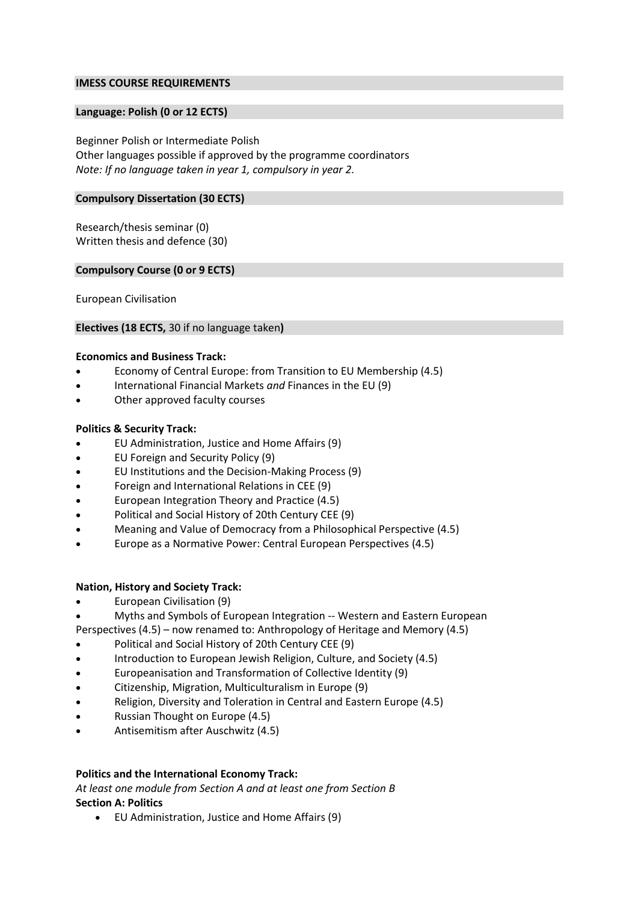# **IMESS COURSE REQUIREMENTS**

### **Language: Polish (0 or 12 ECTS)**

Beginner Polish or Intermediate Polish Other languages possible if approved by the programme coordinators *Note: If no language taken in year 1, compulsory in year 2.*

### **Compulsory Dissertation (30 ECTS)**

Research/thesis seminar (0) Written thesis and defence (30)

### **Compulsory Course (0 or 9 ECTS)**

European Civilisation

### **Electives (18 ECTS,** 30 if no language taken**)**

#### **Economics and Business Track:**

- Economy of Central Europe: from Transition to EU Membership (4.5)
- International Financial Markets *and* Finances in the EU (9)
- Other approved faculty courses

# **Politics & Security Track:**

- EU Administration, Justice and Home Affairs (9)
- EU Foreign and Security Policy (9)
- EU Institutions and the Decision-Making Process (9)
- Foreign and International Relations in CEE (9)
- European Integration Theory and Practice (4.5)
- [Political and Social History of 20th Century CEE](http://www.ces.uj.edu.pl/c/document_library/get_file?uuid=f1f5356e-209b-421b-b738-bce800f02493&groupId=1910281) (9)
- [Meaning and Value of Democracy from a Philosophical Perspective](http://www.ces.uj.edu.pl/documents/1910281/360f9957-55bc-4bfa-8ff9-48bd0363f4fe) (4.5)
- Europe as a Normative Power: Central European Perspectives (4.5)

# **Nation, History and Society Track:**

- European Civilisation (9)
- [Myths and Symbols of European Integration --](http://www.ces.uj.edu.pl/documents/1910281/bb85015c-65ac-46be-bbac-030f72ac8c12) Western and Eastern European
- [Perspectives](http://www.ces.uj.edu.pl/documents/1910281/bb85015c-65ac-46be-bbac-030f72ac8c12) (4.5) now renamed to: Anthropology of Heritage and Memory (4.5)
- Political and Social History of 20th Century CEE (9)
- [Introduction to European Jewish Religion, Culture, and Society](http://www.ces.uj.edu.pl/c/document_library/get_file?uuid=57ad5359-1264-44b7-849f-d69b216370b5&groupId=1910281) (4.5)
- [Europeanisation and Transformation of Collective Identity](http://www.ces.uj.edu.pl/documents/1910281/41efb82f-c628-4389-8470-ff2b29290bd4) (9)
- Citizenship, Migration, Multiculturalism in Europe (9)
- Religion, Diversity and Toleration in Central and Eastern Europe (4.5)
- Russian Thought on Europe (4.5)
- Antisemitism after Auschwitz (4.5)

# **Politics and the International Economy Track:**

*At least one module from Section A and at least one from Section B* **Section A: Politics**

EU Administration, Justice and Home Affairs (9)